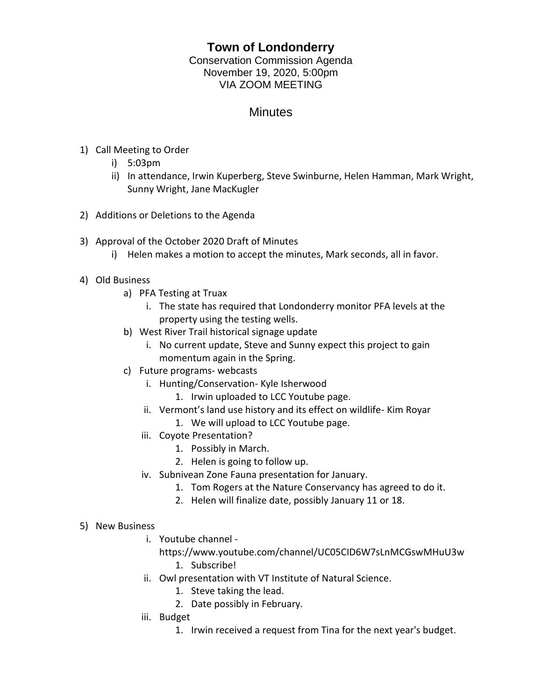## **Town of Londonderry**

Conservation Commission Agenda November 19, 2020, 5:00pm VIA ZOOM MEETING

## **Minutes**

- 1) Call Meeting to Order
	- i) 5:03pm
	- ii) In attendance, Irwin Kuperberg, Steve Swinburne, Helen Hamman, Mark Wright, Sunny Wright, Jane MacKugler
- 2) Additions or Deletions to the Agenda
- 3) Approval of the October 2020 Draft of Minutes
	- i) Helen makes a motion to accept the minutes, Mark seconds, all in favor.
- 4) Old Business
	- a) PFA Testing at Truax
		- i. The state has required that Londonderry monitor PFA levels at the property using the testing wells.
	- b) West River Trail historical signage update
		- i. No current update, Steve and Sunny expect this project to gain momentum again in the Spring.
	- c) Future programs- webcasts
		- i. Hunting/Conservation- Kyle Isherwood
			- 1. Irwin uploaded to LCC Youtube page.
		- ii. Vermont's land use history and its effect on wildlife- Kim Royar
			- 1. We will upload to LCC Youtube page.
		- iii. Coyote Presentation?
			- 1. Possibly in March.
			- 2. Helen is going to follow up.
		- iv. Subnivean Zone Fauna presentation for January.
			- 1. Tom Rogers at the Nature Conservancy has agreed to do it.
			- 2. Helen will finalize date, possibly January 11 or 18.
- 5) New Business
	- i. Youtube channel
		- https://www.youtube.com/channel/UC05CID6W7sLnMCGswMHuU3w 1. Subscribe!
	- ii. Owl presentation with VT Institute of Natural Science.
		- 1. Steve taking the lead.
		- 2. Date possibly in February.
	- iii. Budget
		- 1. Irwin received a request from Tina for the next year's budget.